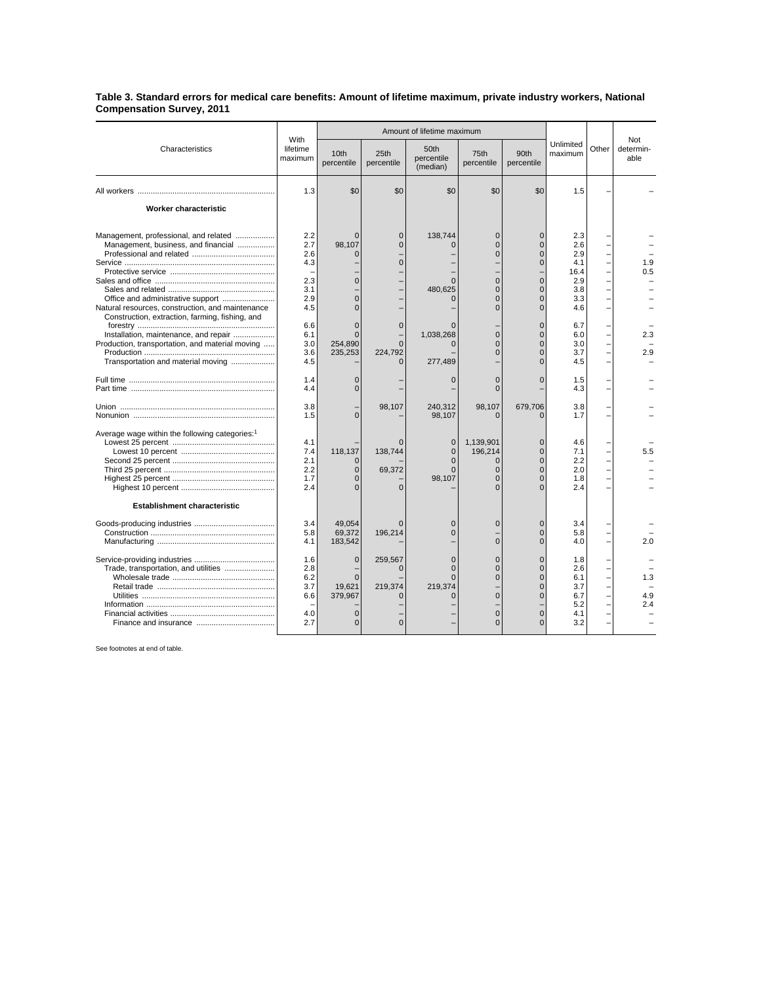## **Table 3. Standard errors for medical care benefits: Amount of lifetime maximum, private industry workers, National Compensation Survey, 2011**

| Characteristics                                                                                                                                                                   |                                                      | Amount of lifetime maximum                                         |                                     |                                                            |                                                                                             |                                                                                                        |                                                              |       |                          |
|-----------------------------------------------------------------------------------------------------------------------------------------------------------------------------------|------------------------------------------------------|--------------------------------------------------------------------|-------------------------------------|------------------------------------------------------------|---------------------------------------------------------------------------------------------|--------------------------------------------------------------------------------------------------------|--------------------------------------------------------------|-------|--------------------------|
|                                                                                                                                                                                   | With<br>lifetime<br>maximum                          | 10th<br>percentile                                                 | 25th<br>percentile                  | 50th<br>percentile<br>(median)                             | 75th<br>percentile                                                                          | 90th<br>percentile                                                                                     | Unlimited<br>maximum                                         | Other | Not<br>determin-<br>able |
|                                                                                                                                                                                   | 1.3                                                  | \$0                                                                | \$0                                 | \$0                                                        | \$0                                                                                         | \$0                                                                                                    | 1.5                                                          |       |                          |
| <b>Worker characteristic</b>                                                                                                                                                      |                                                      |                                                                    |                                     |                                                            |                                                                                             |                                                                                                        |                                                              |       |                          |
| Management, professional, and related<br>Management, business, and financial<br>Office and administrative support<br>Natural resources, construction, and maintenance             | 2.2<br>2.7<br>2.6<br>4.3<br>2.3<br>3.1<br>2.9<br>4.5 | $\Omega$<br>98,107<br>$\Omega$<br>$\Omega$<br>$\Omega$<br>$\Omega$ | $\Omega$<br>$\Omega$<br>O           | 138,744<br>$\Omega$<br>480.625<br>$\Omega$                 | $\mathbf{0}$<br>$\mathbf 0$<br>$\Omega$<br>$\Omega$<br>$\Omega$<br>$\mathbf{0}$<br>$\Omega$ | $\Omega$<br>$\overline{0}$<br>$\Omega$<br>$\Omega$<br>$\Omega$<br>$\Omega$<br>$\mathbf{0}$<br>$\Omega$ | 2.3<br>2.6<br>2.9<br>4.1<br>16.4<br>2.9<br>3.8<br>3.3<br>4.6 |       | 1.9<br>0.5               |
| Construction, extraction, farming, fishing, and<br>Installation, maintenance, and repair<br>Production, transportation, and material moving<br>Transportation and material moving | 6.6<br>6.1<br>3.0<br>3.6<br>4.5                      | $\Omega$<br>$\Omega$<br>254.890<br>235,253                         | $\mathbf 0$<br>$\Omega$<br>224,792  | $\Omega$<br>1,038,268<br>$\Omega$<br>277,489               | $\Omega$<br>$\Omega$<br>$\mathbf{0}$                                                        | $\mathbf{0}$<br>$\Omega$<br>$\Omega$<br>$\overline{0}$<br>$\Omega$                                     | 6.7<br>6.0<br>3.0<br>3.7<br>4.5                              |       | 2.3<br>2.9               |
|                                                                                                                                                                                   | 1.4<br>4.4                                           | 0<br>$\Omega$                                                      |                                     | $\mathbf 0$                                                | $\mathbf 0$<br>$\Omega$                                                                     | $\overline{0}$                                                                                         | 1.5<br>4.3                                                   |       |                          |
|                                                                                                                                                                                   | 3.8<br>1.5                                           | $\Omega$                                                           | 98,107                              | 240,312<br>98,107                                          | 98,107                                                                                      | 679,706                                                                                                | 3.8<br>1.7                                                   |       |                          |
| Average wage within the following categories: <sup>1</sup><br><b>Establishment characteristic</b>                                                                                 | 4.1<br>7.4<br>2.1<br>2.2<br>1.7<br>2.4               | 118,137<br>$\Omega$<br>$\Omega$                                    | 138,744<br>69.372<br>$\Omega$       | $\mathbf{0}$<br>$\Omega$<br>$\Omega$<br>$\Omega$<br>98,107 | 1,139,901<br>196.214<br>$\Omega$<br>$\Omega$<br>$\Omega$<br>$\Omega$                        | $\Omega$<br>$\Omega$<br>$\overline{0}$<br>$\Omega$<br>$\Omega$                                         | 4.6<br>7.1<br>2.2<br>2.0<br>1.8<br>2.4                       |       | 5.5                      |
|                                                                                                                                                                                   | 3.4<br>5.8<br>4.1                                    | 49.054<br>69,372<br>183,542                                        | $\Omega$<br>196.214                 | $\Omega$<br>$\Omega$                                       | $\mathbf 0$<br>$\Omega$                                                                     | $\Omega$<br>$\overline{0}$<br>$\Omega$                                                                 | 3.4<br>5.8<br>4.0                                            |       | 2.0                      |
| Trade, transportation, and utilities                                                                                                                                              | 1.6<br>2.8<br>6.2<br>3.7<br>6.6<br>4.0<br>2.7        | $\mathbf{0}$<br>$\Omega$<br>19.621<br>379,967<br>$\Omega$          | 259,567<br>$\Omega$<br>219.374<br>O | $\mathbf 0$<br>$\Omega$<br>$\Omega$<br>219.374<br>ſ        | $\mathbf 0$<br>$\Omega$<br>$\Omega$<br>$\Omega$<br>$\mathbf 0$<br>$\Omega$                  | $\mathbf 0$<br>$\Omega$<br>$\Omega$<br>0<br>$\Omega$<br>$\overline{0}$<br>$\Omega$                     | 1.8<br>2.6<br>6.1<br>3.7<br>6.7<br>5.2<br>4.1<br>3.2         |       | 1.3<br>4.9<br>2.4        |

See footnotes at end of table.